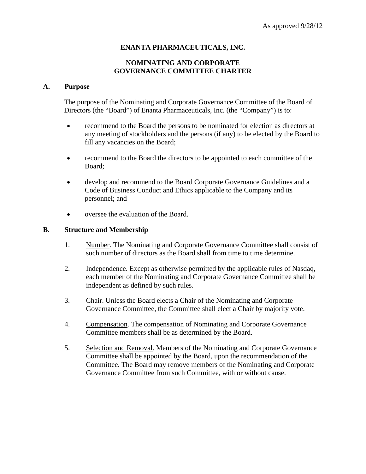## **ENANTA PHARMACEUTICALS, INC.**

## **NOMINATING AND CORPORATE GOVERNANCE COMMITTEE CHARTER**

#### **A. Purpose**

The purpose of the Nominating and Corporate Governance Committee of the Board of Directors (the "Board") of Enanta Pharmaceuticals, Inc. (the "Company") is to:

- recommend to the Board the persons to be nominated for election as directors at any meeting of stockholders and the persons (if any) to be elected by the Board to fill any vacancies on the Board;
- recommend to the Board the directors to be appointed to each committee of the Board;
- develop and recommend to the Board Corporate Governance Guidelines and a Code of Business Conduct and Ethics applicable to the Company and its personnel; and
- oversee the evaluation of the Board.

#### **B. Structure and Membership**

- 1. Number. The Nominating and Corporate Governance Committee shall consist of such number of directors as the Board shall from time to time determine.
- 2. Independence. Except as otherwise permitted by the applicable rules of Nasdaq, each member of the Nominating and Corporate Governance Committee shall be independent as defined by such rules.
- 3. Chair. Unless the Board elects a Chair of the Nominating and Corporate Governance Committee, the Committee shall elect a Chair by majority vote.
- 4. Compensation. The compensation of Nominating and Corporate Governance Committee members shall be as determined by the Board.
- 5. Selection and Removal. Members of the Nominating and Corporate Governance Committee shall be appointed by the Board, upon the recommendation of the Committee. The Board may remove members of the Nominating and Corporate Governance Committee from such Committee, with or without cause.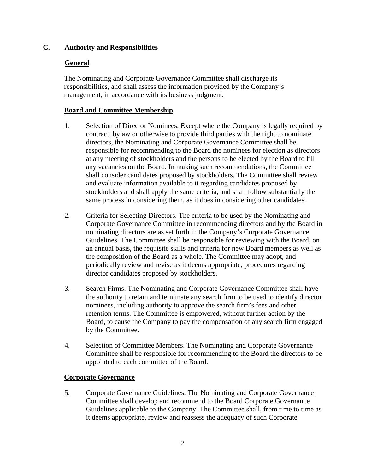# **C. Authority and Responsibilities**

# **General**

The Nominating and Corporate Governance Committee shall discharge its responsibilities, and shall assess the information provided by the Company's management, in accordance with its business judgment.

# **Board and Committee Membership**

- 1. Selection of Director Nominees. Except where the Company is legally required by contract, bylaw or otherwise to provide third parties with the right to nominate directors, the Nominating and Corporate Governance Committee shall be responsible for recommending to the Board the nominees for election as directors at any meeting of stockholders and the persons to be elected by the Board to fill any vacancies on the Board. In making such recommendations, the Committee shall consider candidates proposed by stockholders. The Committee shall review and evaluate information available to it regarding candidates proposed by stockholders and shall apply the same criteria, and shall follow substantially the same process in considering them, as it does in considering other candidates.
- 2. Criteria for Selecting Directors. The criteria to be used by the Nominating and Corporate Governance Committee in recommending directors and by the Board in nominating directors are as set forth in the Company's Corporate Governance Guidelines. The Committee shall be responsible for reviewing with the Board, on an annual basis, the requisite skills and criteria for new Board members as well as the composition of the Board as a whole. The Committee may adopt, and periodically review and revise as it deems appropriate, procedures regarding director candidates proposed by stockholders.
- 3. Search Firms. The Nominating and Corporate Governance Committee shall have the authority to retain and terminate any search firm to be used to identify director nominees, including authority to approve the search firm's fees and other retention terms. The Committee is empowered, without further action by the Board, to cause the Company to pay the compensation of any search firm engaged by the Committee.
- 4. Selection of Committee Members. The Nominating and Corporate Governance Committee shall be responsible for recommending to the Board the directors to be appointed to each committee of the Board.

## **Corporate Governance**

5. Corporate Governance Guidelines. The Nominating and Corporate Governance Committee shall develop and recommend to the Board Corporate Governance Guidelines applicable to the Company. The Committee shall, from time to time as it deems appropriate, review and reassess the adequacy of such Corporate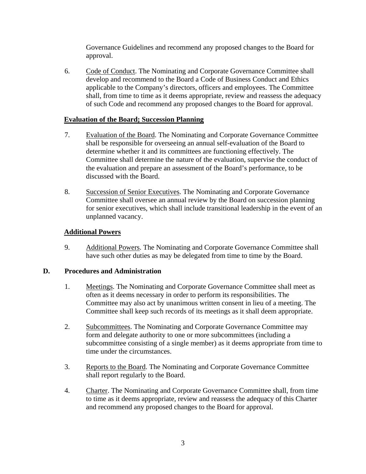Governance Guidelines and recommend any proposed changes to the Board for approval.

6. Code of Conduct. The Nominating and Corporate Governance Committee shall develop and recommend to the Board a Code of Business Conduct and Ethics applicable to the Company's directors, officers and employees. The Committee shall, from time to time as it deems appropriate, review and reassess the adequacy of such Code and recommend any proposed changes to the Board for approval.

## **Evaluation of the Board; Succession Planning**

- 7. Evaluation of the Board. The Nominating and Corporate Governance Committee shall be responsible for overseeing an annual self-evaluation of the Board to determine whether it and its committees are functioning effectively. The Committee shall determine the nature of the evaluation, supervise the conduct of the evaluation and prepare an assessment of the Board's performance, to be discussed with the Board.
- 8. Succession of Senior Executives. The Nominating and Corporate Governance Committee shall oversee an annual review by the Board on succession planning for senior executives, which shall include transitional leadership in the event of an unplanned vacancy.

## **Additional Powers**

9. Additional Powers. The Nominating and Corporate Governance Committee shall have such other duties as may be delegated from time to time by the Board.

#### **D. Procedures and Administration**

- 1. Meetings. The Nominating and Corporate Governance Committee shall meet as often as it deems necessary in order to perform its responsibilities. The Committee may also act by unanimous written consent in lieu of a meeting. The Committee shall keep such records of its meetings as it shall deem appropriate.
- 2. Subcommittees. The Nominating and Corporate Governance Committee may form and delegate authority to one or more subcommittees (including a subcommittee consisting of a single member) as it deems appropriate from time to time under the circumstances.
- 3. Reports to the Board. The Nominating and Corporate Governance Committee shall report regularly to the Board.
- 4. Charter. The Nominating and Corporate Governance Committee shall, from time to time as it deems appropriate, review and reassess the adequacy of this Charter and recommend any proposed changes to the Board for approval.